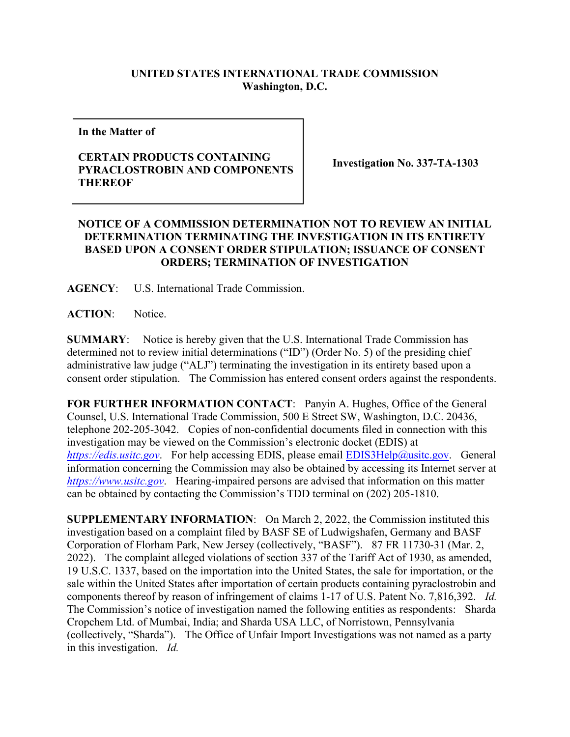## **UNITED STATES INTERNATIONAL TRADE COMMISSION Washington, D.C.**

**In the Matter of** 

## **CERTAIN PRODUCTS CONTAINING PYRACLOSTROBIN AND COMPONENTS THEREOF**

**Investigation No. 337-TA-1303**

## **NOTICE OF A COMMISSION DETERMINATION NOT TO REVIEW AN INITIAL DETERMINATION TERMINATING THE INVESTIGATION IN ITS ENTIRETY BASED UPON A CONSENT ORDER STIPULATION; ISSUANCE OF CONSENT ORDERS; TERMINATION OF INVESTIGATION**

**AGENCY**: U.S. International Trade Commission.

**ACTION**: Notice.

**SUMMARY**: Notice is hereby given that the U.S. International Trade Commission has determined not to review initial determinations ("ID") (Order No. 5) of the presiding chief administrative law judge ("ALJ") terminating the investigation in its entirety based upon a consent order stipulation. The Commission has entered consent orders against the respondents.

**FOR FURTHER INFORMATION CONTACT**: Panyin A. Hughes, Office of the General Counsel, U.S. International Trade Commission, 500 E Street SW, Washington, D.C. 20436, telephone 202-205-3042. Copies of non-confidential documents filed in connection with this investigation may be viewed on the Commission's electronic docket (EDIS) at *[https://edis.usitc.gov](https://edis.usitc.gov/).* For help accessing EDIS, please email [EDIS3Help@usitc.gov.](mailto:EDIS3Help@usitc.gov) General information concerning the Commission may also be obtained by accessing its Internet server at *[https://www.usitc.gov](https://www.usitc.gov/)*. Hearing-impaired persons are advised that information on this matter can be obtained by contacting the Commission's TDD terminal on (202) 205-1810.

**SUPPLEMENTARY INFORMATION**: On March 2, 2022, the Commission instituted this investigation based on a complaint filed by BASF SE of Ludwigshafen, Germany and BASF Corporation of Florham Park, New Jersey (collectively, "BASF"). 87 FR 11730-31 (Mar. 2, 2022). The complaint alleged violations of section 337 of the Tariff Act of 1930, as amended, 19 U.S.C. 1337, based on the importation into the United States, the sale for importation, or the sale within the United States after importation of certain products containing pyraclostrobin and components thereof by reason of infringement of claims 1-17 of U.S. Patent No. 7,816,392. *Id.* The Commission's notice of investigation named the following entities as respondents: Sharda Cropchem Ltd. of Mumbai, India; and Sharda USA LLC, of Norristown, Pennsylvania (collectively, "Sharda"). The Office of Unfair Import Investigations was not named as a party in this investigation. *Id.*